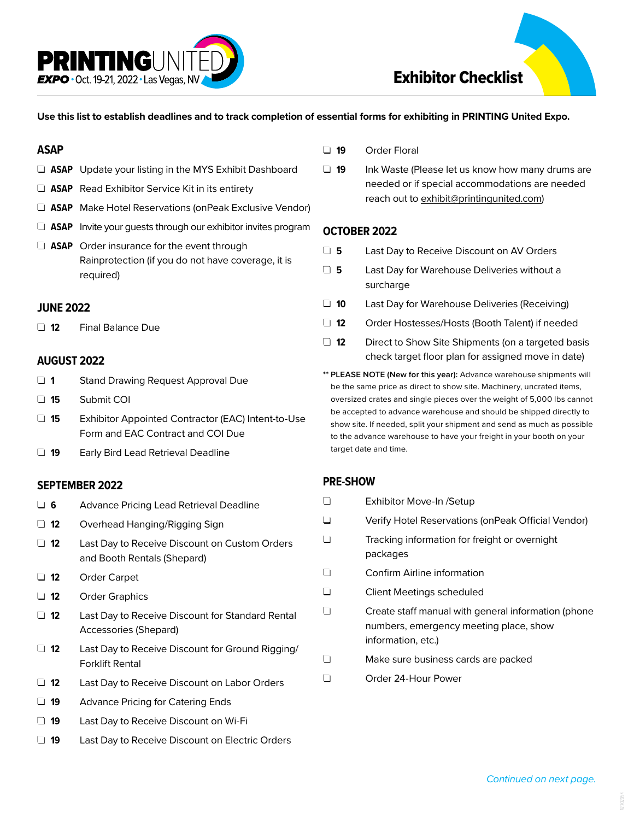

#### **Use this list to establish deadlines and to track completion of essential forms for exhibiting in PRINTING United Expo.**

#### **ASAP**

- **J ASAP** Update your listing in the MYS Exhibit Dashboard
- **J ASAP** Read Exhibitor Service Kit in its entirety
- □ ASAP Make Hotel Reservations (onPeak Exclusive Vendor)
- $\Box$  **ASAP** Invite your guests through our exhibitor invites program
- $\Box$  **ASAP** Order insurance for the event through Rainprotection (if you do not have coverage, it is required)

### **JUNE 2022**

q **12** Final Balance Due

## **AUGUST 2022**

- **1** Stand Drawing Request Approval Due
- q **15** Submit COI
- □ 15 Exhibitor Appointed Contractor (EAC) Intent-to-Use Form and EAC Contract and COI Due
- **19** Early Bird Lead Retrieval Deadline

### **SEPTEMBER 2022**

- □ 6 Advance Pricing Lead Retrieval Deadline □ 12 Overhead Hanging/Rigging Sign □ 12 Last Day to Receive Discount on Custom Orders and Booth Rentals (Shepard) q **12** Order Carpet
	- q **12** Order Graphics
	- □ 12 Last Day to Receive Discount for Standard Rental Accessories (Shepard)
	- □ 12 Last Day to Receive Discount for Ground Rigging/ Forklift Rental
	- □ 12 Last Day to Receive Discount on Labor Orders
	- **19** Advance Pricing for Catering Ends
	- **19** Last Day to Receive Discount on Wi-Fi
	- □ 19 Last Day to Receive Discount on Electric Orders
- q **19** Order Floral
- □ 19 Ink Waste (Please let us know how many drums are needed or if special accommodations are needed reach out to exhibit@printingunited.com)

### **OCTOBER 2022**

- □ 5 Last Day to Receive Discount on AV Orders
- $\Box$  **5** Last Day for Warehouse Deliveries without a surcharge
- **10** Last Day for Warehouse Deliveries (Receiving)
- □ 12 Order Hostesses/Hosts (Booth Talent) if needed
- **12** Direct to Show Site Shipments (on a targeted basis check target floor plan for assigned move in date)
- **\*\* PLEASE NOTE (New for this year):** Advance warehouse shipments will be the same price as direct to show site. Machinery, uncrated items, oversized crates and single pieces over the weight of 5,000 lbs cannot be accepted to advance warehouse and should be shipped directly to show site. If needed, split your shipment and send as much as possible to the advance warehouse to have your freight in your booth on your target date and time.

# **PRE-SHOW**

- □ Exhibitor Move-In /Setup
- q Verify Hotel Reservations (onPeak Official Vendor)
- Tracking information for freight or overnight packages
- **Q Confirm Airline information**
- **Q Client Meetings scheduled**
- $\Box$  Create staff manual with general information (phone numbers, emergency meeting place, show information, etc.)
- $\Box$  Make sure business cards are packed
- q Order 24-Hour Power